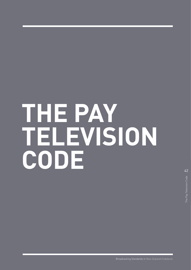# **THE PAY TELEVISION CODE**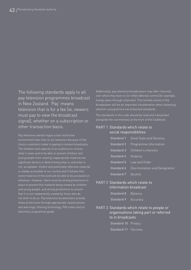The following standards apply to all pay television programmes broadcast in New Zealand. 'Pay' means television that is for a fee (ie, viewers must pay to view the broadcast signal), whether on a subscription or other transaction basis.

Pay television overall enjoys a less restrictive choice customers make in paying to receive broadcasts. The freedom and capacity of an audience to choose young people from viewing inappropriate material are significant factors in determining what is, and what is not, acceptable. Violent and potentially offensive material television. However, there must be strong protections in place to prevent this material being viewed by children and young people, and strong protections to ensure that it is not inadvertently viewed by those who do not wish to do so. Pay television broadcasters provide these protections through appropriate classifications and warnings, filtering technology, PIN codes and an electronic programme guide.

Additionally, pay television broadcasters may offer channels over which they have no (or little) editorial control (for example, foreign pass-through channels). This limited control of the broadcaster will be an important consideration when assessing whether a programme has breached standards.

The standards in this code should be read and interpreted alongside the commentary at the front of the Codebook.

#### **PART 1** Standards which relate to social responsibilities

|                            | <b>Standard</b> 1 Good Taste and Decency |
|----------------------------|------------------------------------------|
|                            | <b>Standard 2</b> Programme Information  |
|                            | <b>Standard 3</b> Children's Interests   |
| <b>Standard 4</b> Violence |                                          |
|                            | <b>Standard 5</b> Law and Order          |
| <b>Standard 6</b>          | Discrimination and Denigration           |
| <b>Standard 7</b> Alcohol  |                                          |

#### **PART 2** Standards which relate to information broadcast

| <b>Standard 8</b> | Balance  |
|-------------------|----------|
| <b>Standard 9</b> | Accuracy |

**PART 3** Standards which relate to people or organisations taking part or referred to in broadcasts

> **Standard 10 Privacy Standard 11** Fairness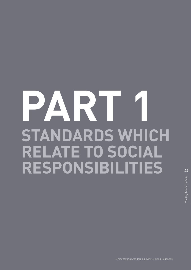## **PART 1 STANDARDS WHICH RELATE TO SOCIAL RESPONSIBILITIES**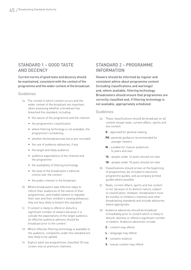## STANDARD 1 – GOOD TASTE AND DECENCY

Current norms of good taste and decency should be maintained, consistent with the context of the programme and the wider context of the broadcast.

#### Guidelines

- 1a The context in which content occurs and the wider context of the broadcast are important when assessing whether a broadcast has breached this standard, including:
	- the nature of the programme and the channel
	- the programme's classification
	- where filtering technology is not available, the programme's scheduling
	- whether the broadcast was live or pre-recorded
	- the use of audience advisories, if any
	- the target and likely audience
	- audience expectations of the channel and the programme
	- the availability of filtering technology
	- the level of the broadcaster's editorial control over the content
	- the public interest in the broadcast.
- 1b Where broadcasters take effective steps to inform their audiences of the nature of their programmes, and enable viewers to regulate their own and their children's viewing behaviour, they are less likely to breach this standard.
- 1c If content is likely to offend or disturb a significant number of viewers because it is outside the expectations of the target audience, an effective audience advisory should be broadcast prior to the content.
- 1d Where effective filtering technology is available to the audience, complaints under this standard are less likely to be upheld.
- 1e Explicit adult sex programmes classified 18 may screen only on premium channels.

## STANDARD 2 – PROGRAMME INFORMATION

Viewers should be informed by regular and consistent advice about programme content (including classifications and warnings) and, where available, filtering technology. Broadcasters should ensure that programmes are correctly classified and, if filtering technology is not available, appropriately scheduled.

#### Guidelines

- 2a These classifications should be broadcast on all content except news, current affairs, sports and live content:
	- **G** approved for general viewing
	- **PG** parental guidance recommended for younger viewers
	- **M** suitable for mature audiences 16 years and over
	- **16** people under 16 years should not view
	- **18** people under 18 years should not view
- 2b Classifications should screen at the beginning of programmes, be included in electronic programme guides, and accompany printed guides where possible.
- 2c News, current affairs, sports and live content is not, because of its distinct nature, subject to classification. However, broadcasters must be mindful of children's interests and other broadcasting standards and include advisories where appropriate.
- 2d Audience advisories should be broadcast immediately prior to content which is likely to disturb, distress or offend a significant number of viewers. Audience advisories include:
	- **C** content may offend
	- **L** language may offend
	- **V** contains violence
	- **S** sexual content may offend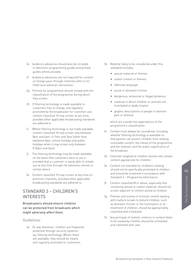- 2e Audience advisories should also be included in electronic programming guides and printed guides where possible.
- Audience advisories are not required for content on foreign pass-through channels with no (or little) local editorial intervention.
- 2g Promos for programmes should comply with the classification of the programme during which they screen.
- 2h If filtering technology is made available to customers free of charge, and regularly promoted by the broadcaster for customer use, content classified 18 may screen at any time, provided other applicable broadcasting standards are adhered to.
- 2i Where filtering technology is not made available, content classified 18 may screen only between 8pm and 6am, or 9am and 3pm (other than weekend days, school holidays and public holidays when it may screen only between 8.30pm and 5am).
- 2j The filtering technology may be made available on the basis that customers elect to use it provided that a customer is easily able to initiate use at any time through the television remote or similar device.
- 2k Content classified 18 may screen at any time on premium channels, provided other applicable broadcasting standards are adhered to.

## STANDARD 3 – CHILDREN'S INTERESTS

Broadcasters should ensure children can be protected from broadcasts which might adversely affect them.

#### Guidelines

3a On pay television, children are frequently protected through security systems, eg, filtering technology. Where these are available, they should be clearly and regularly promoted to customers.

- 3b Material likely to be considered under this standard includes:
	- sexual material or themes
	- violent content or themes
	- offensive language
	- social or domestic friction
	- dangerous, antisocial or illegal behaviour
	- material in which children or animals are humiliated or badly treated
	- graphic descriptions of people in extreme pain or distress

which are outside the expectations of the programme's classification.

- 3c Context must always be considered, including whether filtering technology is available so that parents can protect children from viewing unsuitable content, the nature of the programme and the channel, and the public significance of the broadcast.
- 3d Channels targeted at children should only contain content appropriate for children.
- 3e Content not intended for children's viewing should not be specifically promoted to children and should be screened in accordance with Standard 2 – Programme Information.
- 3f Content classified M or above, especially that containing sexual or violent material, should not screen adjacent to content aimed at children.
- 3g Themes and scenes in fictional content dealing with matters known to disturb children, such as domestic friction or the humiliation or illtreatment of children, should be appropriately classified and scheduled.
- 3h Any portrayal of realistic violence in content likely to be viewed by children should be scheduled and classified with care.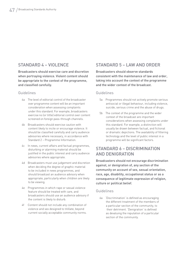## STANDARD 4 - VIOLENCE

Broadcasters should exercise care and discretion when portraying violence. Violent content should be appropriate to the context of the programme, and classified carefully.

#### Guidelines

- 4a The level of editorial control of the broadcaster over programme content will be an important consideration when assessing complaints under this standard. For example, broadcasters exercise no (or little) editorial control over content screened on foreign pass-through channels.
- 4b Broadcasters should exercise caution with content likely to incite or encourage violence. It should be classified carefully and carry audience advisories where necessary, in accordance with Standard 2 – Programme Information.
- 4c In news, current affairs and factual programmes, disturbing or alarming material should be justified in the public interest and carry audience advisories where appropriate.
- 4d Broadcasters must use judgement and discretion when deciding the degree of graphic material to be included in news programmes, and should broadcast an audience advisory when appropriate, particularly when children are likely to be viewing.
- 4e Programmes in which rape or sexual violence feature should be treated with care, and broadcasters should use an audience advisory if the content is likely to disturb.
- 4f Content should not include any combination of violence and sex designed to titillate, beyond current socially acceptable community norms.

## STANDARD 5 – LAW AND ORDER

Broadcasters should observe standards consistent with the maintenance of law and order, taking into account the context of the programme and the wider context of the broadcast.

#### Guidelines

- 5a Programmes should not actively promote serious antisocial or illegal behaviour, including violence, suicide, serious crime and the abuse of drugs.
- 5b The context of the programme and the wider context of the broadcast are important considerations when assessing complaints under this standard. For example, a distinction will usually be drawn between factual, and fictional or dramatic depictions. The availability of filtering technology and the level of public interest in a programme will be significant factors.

## STANDARD 6 – DISCRIMINATION AND DENIGRATION

Broadcasters should not encourage discrimination against, or denigration of, any section of the community on account of sex, sexual orientation, race, age, disability, occupational status or as a consequence of legitimate expression of religion, culture or political belief.

#### Guidelines

6a 'Discrimination' is defined as encouraging the different treatment of the members of a particular section of the community, to their detriment. 'Denigration' is defined as devaluing the reputation of a particular section of the community.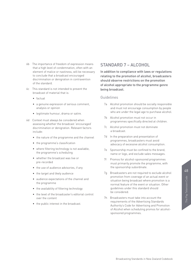The Pay Television Code

- 6b The importance of freedom of expression means that a high level of condemnation, often with an element of malice or nastiness, will be necessary to conclude that a broadcast encouraged discrimination or denigration in contravention of the standard.
- 6c This standard is not intended to prevent the broadcast of material that is:
	- factual
	- a genuine expression of serious comment, analysis or opinion
	- legitimate humour, drama or satire.
- 6d Context must always be considered when assessing whether the broadcast 'encouraged' discrimination or denigration. Relevant factors include:
	- the nature of the programme and the channel
	- the programme's classification
	- where filtering technology is not available, the programme's scheduling
	- whether the broadcast was live or pre-recorded
	- the use of audience advisories, if any
	- the target and likely audience
	- audience expectations of the channel and the programme
	- the availability of filtering technology
	- the level of the broadcaster's editorial control over the content
	- the public interest in the broadcast.

### STANDARD 7 – ALCOHOL

In addition to compliance with laws or regulations relating to the promotion of alcohol, broadcasters should observe restrictions on the promotion of alcohol appropriate to the programme genre being broadcast.

#### Guidelines

- 7a Alcohol promotion should be socially responsible and must not encourage consumption by people who are under the legal age to purchase alcohol.
- 7b Alcohol promotion must not occur in programmes specifically directed at children.
- 7c Alcohol promotion must not dominate a broadcast.
- 7d In the preparation and presentation of programmes, broadcasters must avoid advocacy of excessive alcohol consumption.
- 7e Sponsorship must be confined to the brand, name or logo, and exclude sales messages.
- 7f Promos for alcohol-sponsored programmes must primarily promote the programme, with the sponsorship subordinate.
- 7g Broadcasters are not required to exclude alcohol promotion from coverage of an actual event or situation being broadcast where promotion is a normal feature of the event or situation. Other guidelines under this standard should be considered.
- 7h Broadcasters must take into account the requirements of the Advertising Standards Authority's Code for Advertising and Promotion of Alcohol when scheduling promos for alcoholsponsored programmes.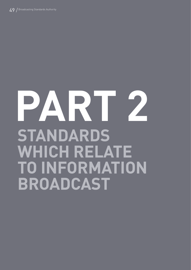## **PART 2 STANDARDS WHICH RELATE TO INFORMATION BROADCAST**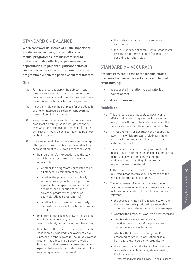## STANDARD 8 – BALANCE

When controversial issues of public importance are discussed in news, current affairs or factual programmes, broadcasters should make reasonable efforts, or give reasonable opportunities, to present significant points of view either in the same programme or in other programmes within the period of current interest.

#### Guidelines

- 8a For the standard to apply, the subject matter must be an issue 'of public importance', it must be 'controversial' and it must be 'discussed' in a news, current affairs or factual programme.
- 8b No set formula can be advanced for the allocation of time to interested parties on controversial issues of public importance.
- 8c News, current affairs and factual programmes broadcast on foreign pass-through channels, over which the broadcaster retains no (or little) editorial control, are not required to be balanced by the broadcaster.
- 8d The assessment of whether a reasonable range of other perspectives has been presented includes consideration of the following, where relevant:
	- the programme's introduction and the way in which the programme was presented, for example:
		- o whether the programme purported to be a balanced examination of an issue
		- o whether the programme was clearly signalled as approaching a topic from a particular perspective (eg, authorial documentaries, public access and advocacy programmes, partial or politically aligned programmes)
		- o whether the programme was narrowly focused on one aspect of a larger, complex debate
	- the nature of the discussion (was it a serious examination of an issue, or was the issue raised in a brief, humorous or peripheral way)
	- the nature of the issue/whether viewers could reasonably be expected to be aware of views expressed in other coverage, including coverage in other media (eg, is it an ongoing topic of debate, such that viewers can reasonably be expected to have a broad understanding of the main perspectives on the issue)
- the likely expectations of the audience as to content
- the level of editorial control of the broadcaster over the programme content (eg, in foreign pass-through channels).

## STANDARD 9 – ACCURACY

Broadcasters should make reasonable efforts to ensure that news, current affairs and factual programming:

- is accurate in relation to all material points of fact
- does not mislead.

#### Guidelines

- 9a This standard does not apply to news, current affairs and factual programmes broadcast on foreign pass-through channels, over which the broadcaster retains little or no editorial control.
- 9b The requirement for accuracy does not apply to statements which are clearly distinguishable as analysis, comment or opinion, rather than statements of fact.
- 9c The standard is concerned only with material inaccuracy. For example, technical or unimportant points unlikely to significantly affect the audience's understanding of the programme as a whole are not material.
- 9d In the event that a material error of fact has occurred, broadcasters should correct it at the earliest appropriate opportunity.
- 9e The assessment of whether the broadcaster has made reasonable efforts to ensure accuracy includes consideration of the following, where relevant:
	- the source of material broadcast (eg, whether the programme is produced by a reputable organisation or relies on an authoritative expert)
	- whether the broadcast was live or pre-recorded
	- whether there was some obvious reason to question the accuracy of the programme content before it was broadcast
	- whether the broadcaster sought and/or presented comment, clarification or input from any relevant person or organisation
	- the extent to which the issue of accuracy was reasonably capable of being determined by the broadcaster.

Broadcasting Standards in New Zealand Codebook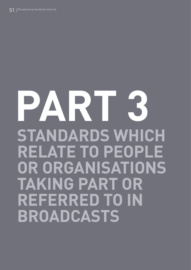## **PART 3 STANDARDS WHICH RELATE TO PEOPLE OR ORGANISATIONS TAKING PART OR REFERRED TO IN BROADCASTS**